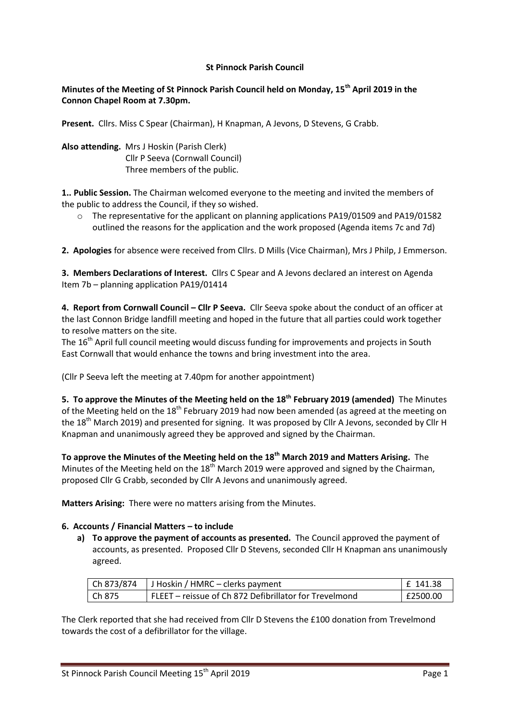### **St Pinnock Parish Council**

# **Minutes of the Meeting of St Pinnock Parish Council held on Monday, 15th April 2019 in the Connon Chapel Room at 7.30pm.**

**Present.** Cllrs. Miss C Spear (Chairman), H Knapman, A Jevons, D Stevens, G Crabb.

**Also attending.** Mrs J Hoskin (Parish Clerk) Cllr P Seeva (Cornwall Council) Three members of the public.

**1.. Public Session.** The Chairman welcomed everyone to the meeting and invited the members of the public to address the Council, if they so wished.

o The representative for the applicant on planning applications PA19/01509 and PA19/01582 outlined the reasons for the application and the work proposed (Agenda items 7c and 7d)

**2. Apologies** for absence were received from Cllrs. D Mills (Vice Chairman), Mrs J Philp, J Emmerson.

**3. Members Declarations of Interest.** Cllrs C Spear and A Jevons declared an interest on Agenda Item 7b – planning application PA19/01414

**4. Report from Cornwall Council – Cllr P Seeva.** Cllr Seeva spoke about the conduct of an officer at the last Connon Bridge landfill meeting and hoped in the future that all parties could work together to resolve matters on the site.

The 16<sup>th</sup> April full council meeting would discuss funding for improvements and projects in South East Cornwall that would enhance the towns and bring investment into the area.

(Cllr P Seeva left the meeting at 7.40pm for another appointment)

**5. To approve the Minutes of the Meeting held on the 18th February 2019 (amended)** The Minutes of the Meeting held on the 18<sup>th</sup> February 2019 had now been amended (as agreed at the meeting on the 18<sup>th</sup> March 2019) and presented for signing. It was proposed by Cllr A Jevons, seconded by Cllr H Knapman and unanimously agreed they be approved and signed by the Chairman.

**To approve the Minutes of the Meeting held on the 18th March 2019 and Matters Arising.** The Minutes of the Meeting held on the  $18<sup>th</sup>$  March 2019 were approved and signed by the Chairman, proposed Cllr G Crabb, seconded by Cllr A Jevons and unanimously agreed.

**Matters Arising:** There were no matters arising from the Minutes.

#### **6. Accounts / Financial Matters – to include**

**a) To approve the payment of accounts as presented.** The Council approved the payment of accounts, as presented. Proposed Cllr D Stevens, seconded Cllr H Knapman ans unanimously agreed.

|        | Ch 873/874   J Hoskin / HMRC – clerks payment          | E 141.38 |
|--------|--------------------------------------------------------|----------|
| Ch 875 | FLEET – reissue of Ch 872 Defibrillator for Trevelmond | £2500.00 |

The Clerk reported that she had received from Cllr D Stevens the £100 donation from Trevelmond towards the cost of a defibrillator for the village.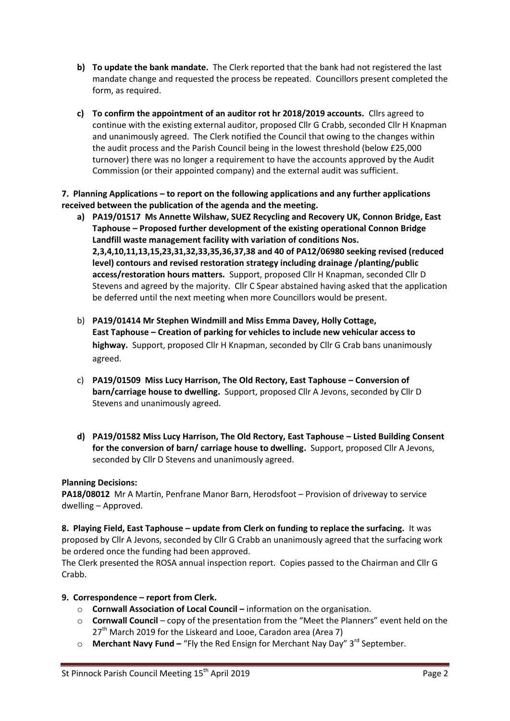- **b) To update the bank mandate.** The Clerk reported that the bank had not registered the last mandate change and requested the process be repeated. Councillors present completed the form, as required.
- **c) To confirm the appointment of an auditor rot hr 2018/2019 accounts.** Cllrs agreed to continue with the existing external auditor, proposed Cllr G Crabb, seconded Cllr H Knapman and unanimously agreed. The Clerk notified the Council that owing to the changes within the audit process and the Parish Council being in the lowest threshold (below £25,000 turnover) there was no longer a requirement to have the accounts approved by the Audit Commission (or their appointed company) and the external audit was sufficient.

**7. Planning Applications – to report on the following applications and any further applications received between the publication of the agenda and the meeting.**

- **a) PA19/01517 Ms Annette Wilshaw, SUEZ Recycling and Recovery UK, Connon Bridge, East Taphouse – Proposed further development of the existing operational Connon Bridge Landfill waste management facility with variation of conditions Nos. 2,3,4,10,11,13,15,23,31,32,33,35,36,37,38 and 40 of PA12/06980 seeking revised (reduced level) contours and revised restoration strategy including drainage /planting/public access/restoration hours matters.** Support, proposed Cllr H Knapman, seconded Cllr D Stevens and agreed by the majority. Cllr C Spear abstained having asked that the application be deferred until the next meeting when more Councillors would be present.
- b) **PA19/01414 Mr Stephen Windmill and Miss Emma Davey, Holly Cottage, East Taphouse – Creation of parking for vehicles to include new vehicular access to highway.** Support, proposed Cllr H Knapman, seconded by Cllr G Crab bans unanimously agreed.
- c) **PA19/01509 Miss Lucy Harrison, The Old Rectory, East Taphouse – Conversion of barn/carriage house to dwelling.** Support, proposed Cllr A Jevons, seconded by Cllr D Stevens and unanimously agreed.
- **d) PA19/01582 Miss Lucy Harrison, The Old Rectory, East Taphouse – Listed Building Consent for the conversion of barn/ carriage house to dwelling.** Support, proposed Cllr A Jevons, seconded by Cllr D Stevens and unanimously agreed.

## **Planning Decisions:**

**PA18/08012** Mr A Martin, Penfrane Manor Barn, Herodsfoot – Provision of driveway to service dwelling – Approved.

**8. Playing Field, East Taphouse – update from Clerk on funding to replace the surfacing.** It was proposed by Cllr A Jevons, seconded by Cllr G Crabb an unanimously agreed that the surfacing work be ordered once the funding had been approved.

The Clerk presented the ROSA annual inspection report. Copies passed to the Chairman and Cllr G Crabb.

## **9. Correspondence – report from Clerk.**

- o **Cornwall Association of Local Council –** information on the organisation.
- o **Cornwall Council**  copy of the presentation from the "Meet the Planners" event held on the  $27<sup>th</sup>$  March 2019 for the Liskeard and Looe, Caradon area (Area 7)
- o **Merchant Navy Fund –** "Fly the Red Ensign for Merchant Nay Day" 3rd September.